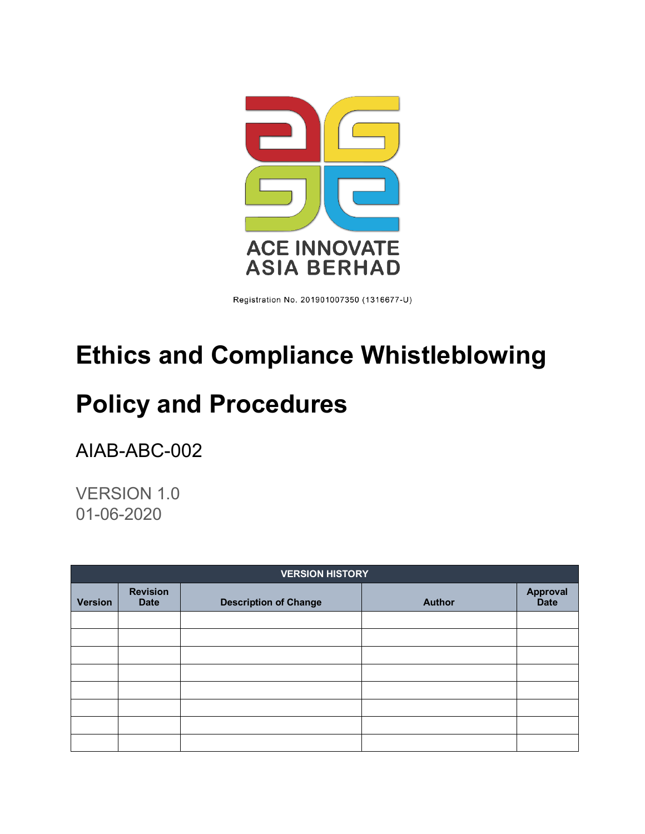

Registration No. 201901007350 (1316677-U)

# **Ethics and Compliance Whistleblowing**

# <span id="page-0-0"></span>**Policy and Procedures**

AIAB-ABC-002

VERSION 1.0 01-06-2020

| <b>VERSION HISTORY</b> |                                |                              |               |                                |  |  |  |
|------------------------|--------------------------------|------------------------------|---------------|--------------------------------|--|--|--|
| <b>Version</b>         | <b>Revision</b><br><b>Date</b> | <b>Description of Change</b> | <b>Author</b> | <b>Approval</b><br><b>Date</b> |  |  |  |
|                        |                                |                              |               |                                |  |  |  |
|                        |                                |                              |               |                                |  |  |  |
|                        |                                |                              |               |                                |  |  |  |
|                        |                                |                              |               |                                |  |  |  |
|                        |                                |                              |               |                                |  |  |  |
|                        |                                |                              |               |                                |  |  |  |
|                        |                                |                              |               |                                |  |  |  |
|                        |                                |                              |               |                                |  |  |  |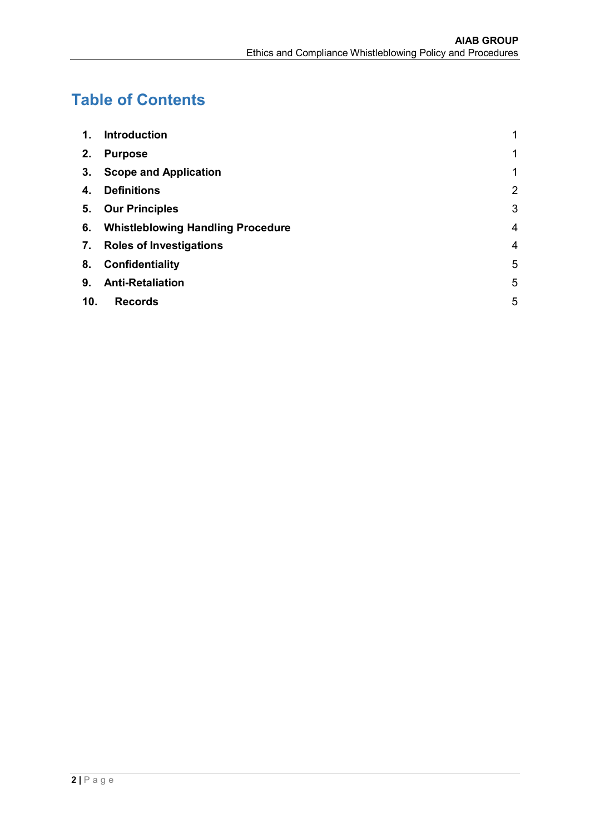# **Table of Contents**

| $\mathbf 1$ . | <b>Introduction</b>                  | 1              |
|---------------|--------------------------------------|----------------|
| 2.            | <b>Purpose</b>                       | 1              |
| 3.            | <b>Scope and Application</b>         | 1              |
| 4.            | <b>Definitions</b>                   | $\overline{2}$ |
|               | 5. Our Principles                    | 3              |
|               | 6. Whistleblowing Handling Procedure | $\overline{4}$ |
| 7.            | <b>Roles of Investigations</b>       | $\overline{4}$ |
| 8.            | <b>Confidentiality</b>               | 5              |
| 9.            | <b>Anti-Retaliation</b>              | 5              |
| 10.           | <b>Records</b>                       | 5              |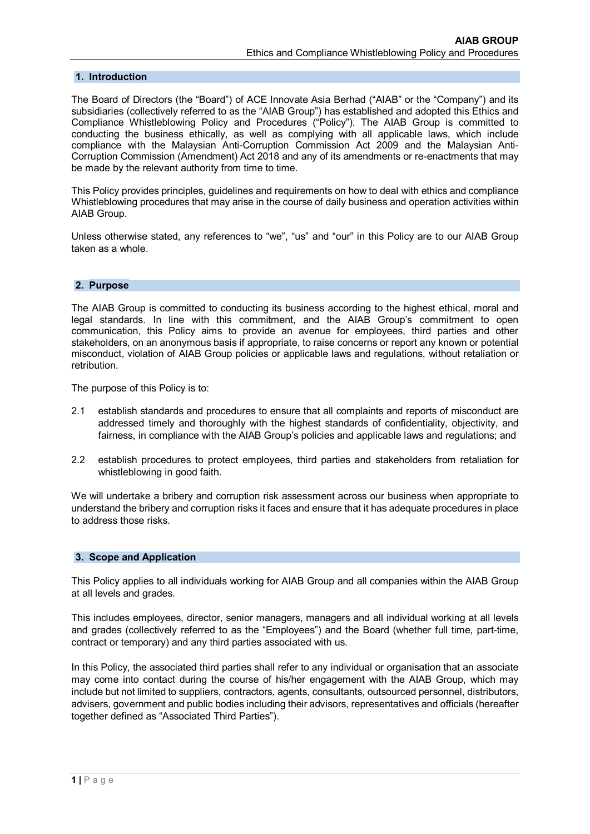## <span id="page-2-0"></span>**1. Introduction**

The Board of Directors (the "Board") of ACE Innovate Asia Berhad ("AIAB" or the "Company") and its subsidiaries (collectively referred to as the "AIAB Group") has established and adopted this Ethics and Compliance Whistleblowing Policy and Procedures ("Policy"). The AIAB Group is committed to conducting the business ethically, as well as complying with all applicable laws, which include compliance with the Malaysian Anti-Corruption Commission Act 2009 and the Malaysian Anti-Corruption Commission (Amendment) Act 2018 and any of its amendments or re-enactments that may be made by the relevant authority from time to time.

This Policy provides principles, guidelines and requirements on how to deal with ethics and compliance Whistleblowing procedures that may arise in the course of daily business and operation activities within AIAB Group.

Unless otherwise stated, any references to "we", "us" and "our" in this Policy are to our AIAB Group taken as a whole.

#### <span id="page-2-1"></span>**2. Purpose**

The AIAB Group is committed to conducting its business according to the highest ethical, moral and legal standards. In line with this commitment, and the AIAB Group's commitment to open communication, this Policy aims to provide an avenue for employees, third parties and other stakeholders, on an anonymous basis if appropriate, to raise concerns or report any known or potential misconduct, violation of AIAB Group policies or applicable laws and regulations, without retaliation or retribution.

The purpose of this Policy is to:

- 2.1 establish standards and procedures to ensure that all complaints and reports of misconduct are addressed timely and thoroughly with the highest standards of confidentiality, objectivity, and fairness, in compliance with the AIAB Group's policies and applicable laws and regulations; and
- 2.2 establish procedures to protect employees, third parties and stakeholders from retaliation for whistleblowing in good faith.

We will undertake a bribery and corruption risk assessment across our business when appropriate to understand the bribery and corruption risks it faces and ensure that it has adequate procedures in place to address those risks.

## <span id="page-2-2"></span>**3. Scope and Application**

This Policy applies to all individuals working for AIAB Group and all companies within the AIAB Group at all levels and grades.

This includes employees, director, senior managers, managers and all individual working at all levels and grades (collectively referred to as the "Employees") and the Board (whether full time, part-time, contract or temporary) and any third parties associated with us.

In this Policy, the associated third parties shall refer to any individual or organisation that an associate may come into contact during the course of his/her engagement with the AIAB Group, which may include but not limited to suppliers, contractors, agents, consultants, outsourced personnel, distributors, advisers, government and public bodies including their advisors, representatives and officials (hereafter together defined as "Associated Third Parties").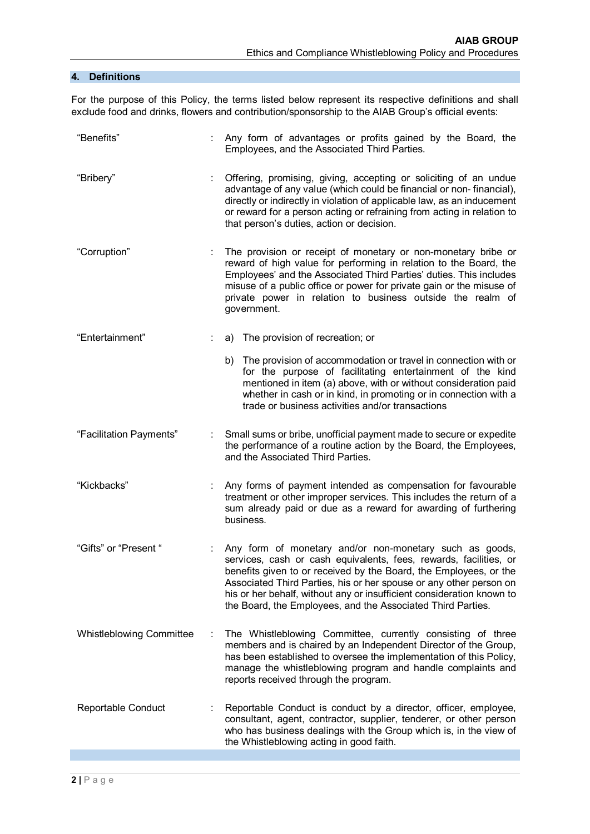# <span id="page-3-0"></span>**4. Definitions**

For the purpose of this Policy, the terms listed below represent its respective definitions and shall exclude food and drinks, flowers and contribution/sponsorship to the AIAB Group's official events:

<span id="page-3-1"></span>

| "Benefits"                      |    | Any form of advantages or profits gained by the Board, the<br>Employees, and the Associated Third Parties.                                                                                                                                                                                                                                                                                                      |
|---------------------------------|----|-----------------------------------------------------------------------------------------------------------------------------------------------------------------------------------------------------------------------------------------------------------------------------------------------------------------------------------------------------------------------------------------------------------------|
| "Bribery"                       | ÷. | Offering, promising, giving, accepting or soliciting of an undue<br>advantage of any value (which could be financial or non-financial),<br>directly or indirectly in violation of applicable law, as an inducement<br>or reward for a person acting or refraining from acting in relation to<br>that person's duties, action or decision.                                                                       |
| "Corruption"                    |    | The provision or receipt of monetary or non-monetary bribe or<br>reward of high value for performing in relation to the Board, the<br>Employees' and the Associated Third Parties' duties. This includes<br>misuse of a public office or power for private gain or the misuse of<br>private power in relation to business outside the realm of<br>government.                                                   |
| "Entertainment"                 |    | a) The provision of recreation; or                                                                                                                                                                                                                                                                                                                                                                              |
|                                 |    | b) The provision of accommodation or travel in connection with or<br>for the purpose of facilitating entertainment of the kind<br>mentioned in item (a) above, with or without consideration paid<br>whether in cash or in kind, in promoting or in connection with a<br>trade or business activities and/or transactions                                                                                       |
| "Facilitation Payments"         |    | Small sums or bribe, unofficial payment made to secure or expedite<br>the performance of a routine action by the Board, the Employees,<br>and the Associated Third Parties.                                                                                                                                                                                                                                     |
| "Kickbacks"                     |    | Any forms of payment intended as compensation for favourable<br>treatment or other improper services. This includes the return of a<br>sum already paid or due as a reward for awarding of furthering<br>business.                                                                                                                                                                                              |
| "Gifts" or "Present "           |    | Any form of monetary and/or non-monetary such as goods,<br>services, cash or cash equivalents, fees, rewards, facilities, or<br>benefits given to or received by the Board, the Employees, or the<br>Associated Third Parties, his or her spouse or any other person on<br>his or her behalf, without any or insufficient consideration known to<br>the Board, the Employees, and the Associated Third Parties. |
| <b>Whistleblowing Committee</b> | ÷  | The Whistleblowing Committee, currently consisting of three<br>members and is chaired by an Independent Director of the Group,<br>has been established to oversee the implementation of this Policy,<br>manage the whistleblowing program and handle complaints and<br>reports received through the program.                                                                                                    |
| Reportable Conduct              |    | Reportable Conduct is conduct by a director, officer, employee,<br>consultant, agent, contractor, supplier, tenderer, or other person<br>who has business dealings with the Group which is, in the view of<br>the Whistleblowing acting in good faith.                                                                                                                                                          |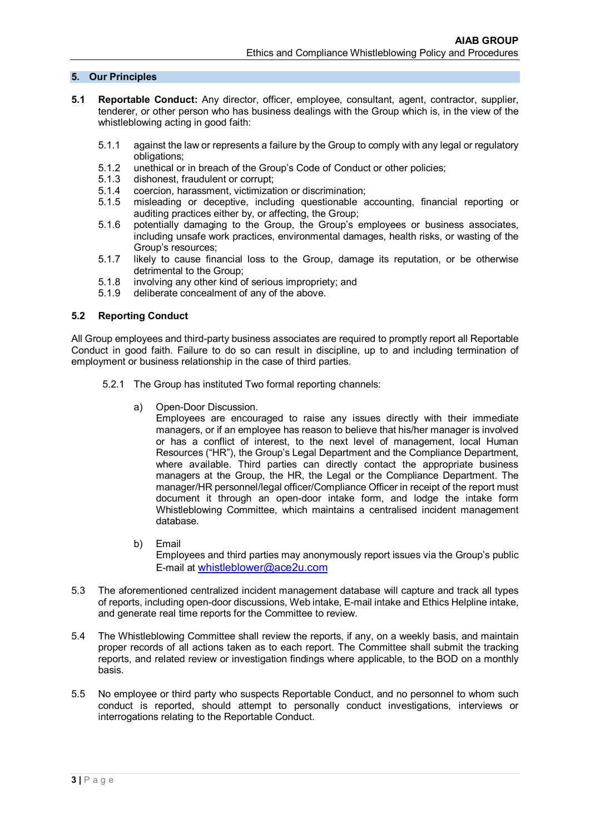## **5. Our Principles**

- **5.1 Reportable Conduct:** Any director, officer, employee, consultant, agent, contractor, supplier, tenderer, or other person who has business dealings with the Group which is, in the view of the whistleblowing acting in good faith:
	- 5.1.1 against the law or represents a failure by the Group to comply with any legal or regulatory obligations;
	- 5.1.2 unethical or in breach of the Group's Code of Conduct or other policies;<br>5.1.3 dishonest, fraudulent or corrupt;
	- 5.1.3 dishonest, fraudulent or corrupt;<br>5.1.4 coercion, harassment, victimizat
	- 5.1.4 coercion, harassment, victimization or discrimination;
	- 5.1.5 misleading or deceptive, including questionable accounting, financial reporting or auditing practices either by, or affecting, the Group;
	- 5.1.6 potentially damaging to the Group, the Group's employees or business associates, including unsafe work practices, environmental damages, health risks, or wasting of the Group's resources;
	- 5.1.7 likely to cause financial loss to the Group, damage its reputation, or be otherwise detrimental to the Group;
	- 5.1.8 involving any other kind of serious impropriety; and
	- 5.1.9 deliberate concealment of any of the above.

#### **5.2 Reporting Conduct**

All Group employees and third-party business associates are required to promptly report all Reportable Conduct in good faith. Failure to do so can result in discipline, up to and including termination of employment or business relationship in the case of third parties.

- 5.2.1 The Group has instituted Two formal reporting channels:
	- a) Open-Door Discussion.

Employees are encouraged to raise any issues directly with their immediate managers, or if an employee has reason to believe that his/her manager is involved or has a conflict of interest, to the next level of management, local Human Resources ("HR"), the Group's Legal Department and the Compliance Department, where available. Third parties can directly contact the appropriate business managers at the Group, the HR, the Legal or the Compliance Department. The manager/HR personnel/legal officer/Compliance Officer in receipt of the report must document it through an open-door intake form, and lodge the intake form Whistleblowing Committee, which maintains a centralised incident management database.

- b) [Email](mailto:compliance@nio.com) Employees and third parties may anonymously report issues via the Group's public E-mail at [whistleblower@ace2u.com](mailto:whistleblower@ace2u.com)
- 5.3 The aforementioned centralized incident management database will capture and track all types of reports, including open-door discussions, Web intake, E-mail intake and Ethics Helpline intake, and generate real time reports for the Committee to review.
- 5.4 The Whistleblowing Committee shall review the reports, if any, on a weekly basis, and maintain proper records of all actions taken as to each report. The Committee shall submit the tracking reports, and related review or investigation findings where applicable, to the BOD on a monthly basis.
- 5.5 No employee or third party who suspects Reportable Conduct, and no personnel to whom such conduct is reported, should attempt to personally conduct investigations, interviews or interrogations relating to the Reportable Conduct.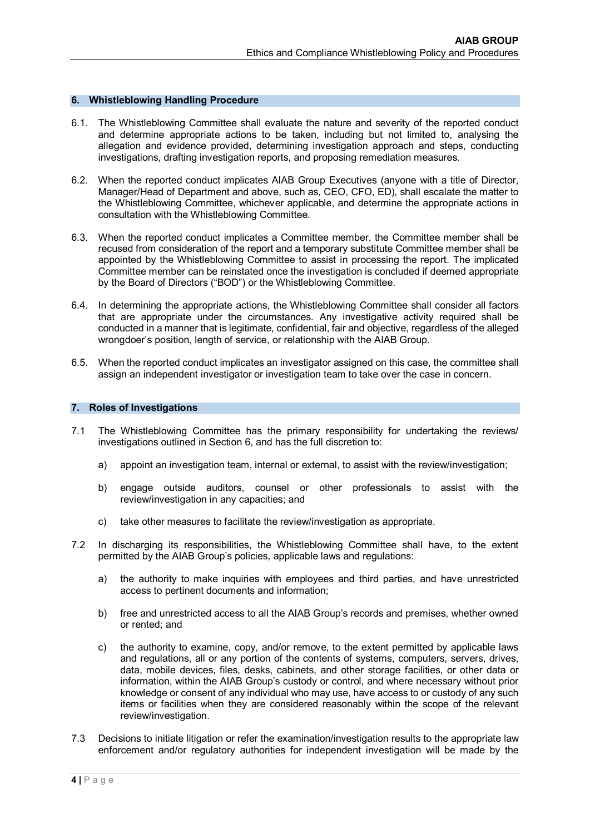#### <span id="page-5-0"></span>**6. Whistleblowing Handling Procedure**

- 6.1. The Whistleblowing Committee shall evaluate the nature and severity of the reported conduct and determine appropriate actions to be taken, including but not limited to, analysing the allegation and evidence provided, determining investigation approach and steps, conducting investigations, drafting investigation reports, and proposing remediation measures.
- 6.2. When the reported conduct implicates AIAB Group Executives (anyone with a title of Director, Manager/Head of Department and above, such as, CEO, CFO, ED), shall escalate the matter to the Whistleblowing Committee, whichever applicable, and determine the appropriate actions in consultation with the Whistleblowing Committee.
- 6.3. When the reported conduct implicates a Committee member, the Committee member shall be recused from consideration of the report and a temporary substitute Committee member shall be appointed by the Whistleblowing Committee to assist in processing the report. The implicated Committee member can be reinstated once the investigation is concluded if deemed appropriate by the Board of Directors ("BOD") or the Whistleblowing Committee.
- 6.4. In determining the appropriate actions, the Whistleblowing Committee shall consider all factors that are appropriate under the circumstances. Any investigative activity required shall be conducted in a manner that is legitimate, confidential, fair and objective, regardless of the alleged wrongdoer's position, length of service, or relationship with the AIAB Group.
- 6.5. When the reported conduct implicates an investigator assigned on this case, the committee shall assign an independent investigator or investigation team to take over the case in concern.

#### <span id="page-5-1"></span>**7. Roles of Investigations**

- 7.1 The Whistleblowing Committee has the primary responsibility for undertaking the reviews/ investigations outlined in Section 6, and has the full discretion to:
	- a) appoint an investigation team, internal or external, to assist with the review/investigation;
	- b) engage outside auditors, counsel or other professionals to assist with the review/investigation in any capacities; and
	- c) take other measures to facilitate the review/investigation as appropriate.
- 7.2 In discharging its responsibilities, the Whistleblowing Committee shall have, to the extent permitted by the AIAB Group's policies, applicable laws and regulations:
	- a) the authority to make inquiries with employees and third parties, and have unrestricted access to pertinent documents and information;
	- b) free and unrestricted access to all the AIAB Group's records and premises, whether owned or rented; and
	- c) the authority to examine, copy, and/or remove, to the extent permitted by applicable laws and regulations, all or any portion of the contents of systems, computers, servers, drives, data, mobile devices, files, desks, cabinets, and other storage facilities, or other data or information, within the AIAB Group's custody or control, and where necessary without prior knowledge or consent of any individual who may use, have access to or custody of any such items or facilities when they are considered reasonably within the scope of the relevant review/investigation.
- 7.3 Decisions to initiate litigation or refer the examination/investigation results to the appropriate law enforcement and/or regulatory authorities for independent investigation will be made by the